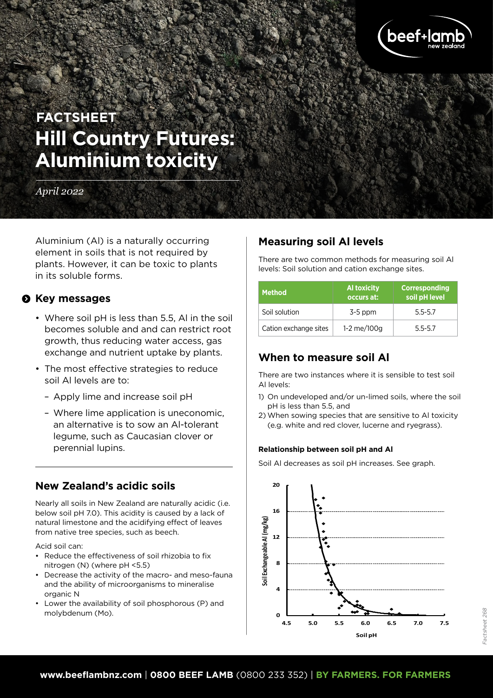

# **Hill Country Futures: Aluminium toxicity FACTSHEET**

#### *April 2022*

Aluminium (Al) is a naturally occurring element in soils that is not required by plants. However, it can be toxic to plants in its soluble forms.

#### $\theta$  Key messages

- Where soil pH is less than 5.5, Al in the soil becomes soluble and and can restrict root growth, thus reducing water access, gas exchange and nutrient uptake by plants.
- The most effective strategies to reduce soil Al levels are to:
	- Apply lime and increase soil pH
	- Where lime application is uneconomic, an alternative is to sow an Al-tolerant legume, such as Caucasian clover or perennial lupins.

# **New Zealand's acidic soils**

Nearly all soils in New Zealand are naturally acidic (i.e. below soil pH 7.0). This acidity is caused by a lack of natural limestone and the acidifying effect of leaves from native tree species, such as beech.

Acid soil can:

- Reduce the effectiveness of soil rhizobia to fix nitrogen (N) (where pH <5.5)
- Decrease the activity of the macro- and meso-fauna and the ability of microorganisms to mineralise organic N
- Lower the availability of soil phosphorous (P) and molybdenum (Mo).

# **Measuring soil Al levels**

There are two common methods for measuring soil Al levels: Soil solution and cation exchange sites.

| <b>Method</b>         | <b>Al toxicity</b><br>occurs at: | <b>Corresponding</b><br>soil pH level |
|-----------------------|----------------------------------|---------------------------------------|
| Soil solution         | $3-5$ ppm                        | $5.5 - 5.7$                           |
| Cation exchange sites | 1-2 me/100g                      | $5.5 - 5.7$                           |

# **When to measure soil Al**

There are two instances where it is sensible to test soil Al levels:

- 1) On undeveloped and/or un-limed soils, where the soil pH is less than 5.5, and
- 2) When sowing species that are sensitive to Al toxicity (e.g. white and red clover, lucerne and ryegrass).

#### **Relationship between soil pH and Al**

Soil Al decreases as soil pH increases. See graph.